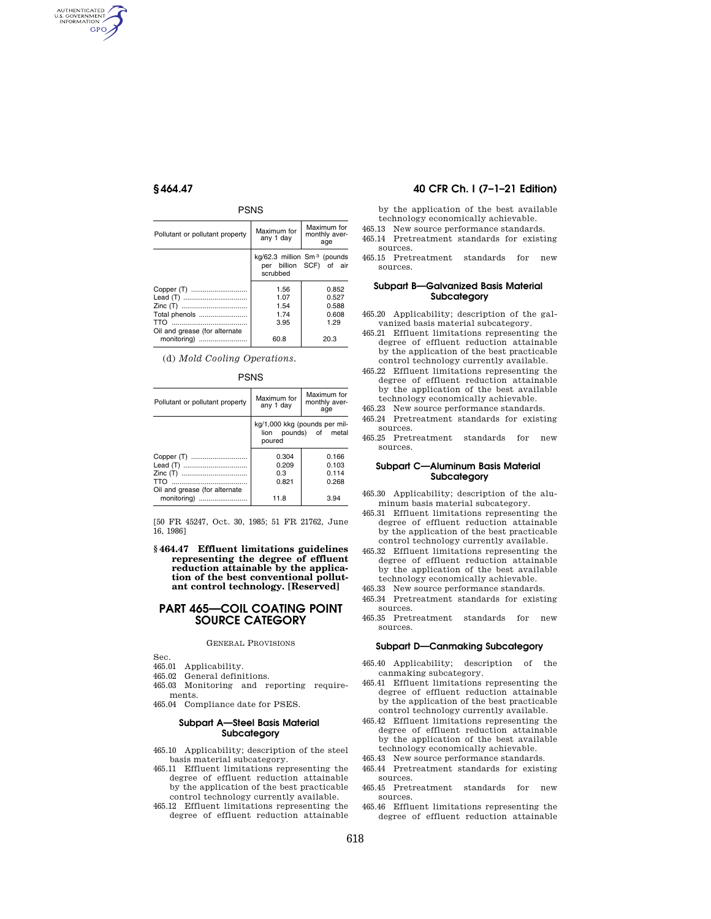AUTHENTICATED<br>U.S. GOVERNMENT<br>INFORMATION GPO

## PSNS

| Pollutant or pollutant property                | Maximum for<br>Maximum for<br>monthly aver-<br>any 1 day<br>age                |                                          |
|------------------------------------------------|--------------------------------------------------------------------------------|------------------------------------------|
|                                                | kg/62.3 million Sm <sup>3</sup> (pounds<br>per billion SCF) of air<br>scrubbed |                                          |
| Total phenols<br>Oil and grease (for alternate | 1.56<br>1.07<br>1.54<br>1 74<br>3.95                                           | 0.852<br>0.527<br>0.588<br>0.608<br>1.29 |
| monitoring)                                    | 60.8<br>20.3                                                                   |                                          |

(d) *Mold Cooling Operations.* 

| Pollutant or pollutant property | Maximum for<br>any 1 day                                         | Maximum for<br>monthly aver-<br>age |  |
|---------------------------------|------------------------------------------------------------------|-------------------------------------|--|
|                                 | kg/1,000 kkg (pounds per mil-<br>lion pounds) of metal<br>poured |                                     |  |
| Oil and grease (for alternate   | 0.304<br>0.209<br>0.3<br>0.821                                   | 0.166<br>0.103<br>0.114<br>0.268    |  |
| monitoring)                     | 11.8                                                             | 3.94                                |  |

[50 FR 45247, Oct. 30, 1985; 51 FR 21762, June 16, 1986]

**§ 464.47 Effluent limitations guidelines representing the degree of effluent reduction attainable by the application of the best conventional pollutant control technology. [Reserved]** 

# **PART 465—COIL COATING POINT SOURCE CATEGORY**

### GENERAL PROVISIONS

Sec.

- 465.01 Applicability.
- 465.02 General definitions.
- 465.03 Monitoring and reporting requirements.
- 465.04 Compliance date for PSES.

# **Subpart A—Steel Basis Material Subcategory**

- 465.10 Applicability; description of the steel basis material subcategory.
- 465.11 Effluent limitations representing the degree of effluent reduction attainable by the application of the best practicable control technology currently available.
- 465.12 Effluent limitations representing the degree of effluent reduction attainable

# **§ 464.47 40 CFR Ch. I (7–1–21 Edition)**

by the application of the best available technology economically achievable.

- 465.13 New source performance standards. 465.14 Pretreatment standards for existing
- sources. 465.15 Pretreatment standards for new
- sources.

## **Subpart B—Galvanized Basis Material Subcategory**

- 465.20 Applicability; description of the galvanized basis material subcategory.
- 465.21 Effluent limitations representing the degree of effluent reduction attainable by the application of the best practicable control technology currently available.
- 465.22 Effluent limitations representing the degree of effluent reduction attainable by the application of the best available technology economically achievable.
- 465.23 New source performance standards.
- 465.24 Pretreatment standards for existing sources.
- 465.25 Pretreatment standards for new sources.

## **Subpart C—Aluminum Basis Material Subcategory**

465.30 Applicability; description of the aluminum basis material subcategory.

- 465.31 Effluent limitations representing the degree of effluent reduction attainable by the application of the best practicable control technology currently available.
- 465.32 Effluent limitations representing the degree of effluent reduction attainable by the application of the best available technology economically achievable.
- 465.33 New source performance standards.
- 465.34 Pretreatment standards for existing sources.
- 465.35 Pretreatment standards for new sources.

## **Subpart D—Canmaking Subcategory**

- 465.40 Applicability; description of the canmaking subcategory.
- 465.41 Effluent limitations representing the degree of effluent reduction attainable by the application of the best practicable control technology currently available.
- 465.42 Effluent limitations representing the degree of effluent reduction attainable by the application of the best available technology economically achievable.
- 465.43 New source performance standards.
- 465.44 Pretreatment standards for existing sources.
- 465.45 Pretreatment standards for new sources.
- 465.46 Effluent limitations representing the degree of effluent reduction attainable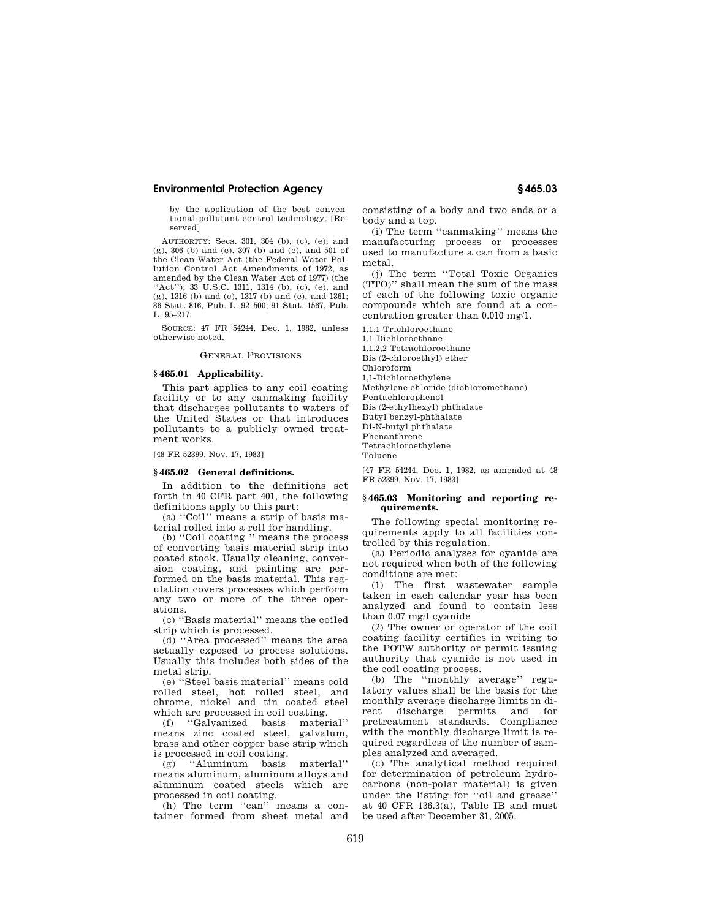by the application of the best conventional pollutant control technology. [Reserved]

AUTHORITY: Secs. 301, 304 (b), (c), (e), and (g), 306 (b) and (c), 307 (b) and (c), and 501 of the Clean Water Act (the Federal Water Pollution Control Act Amendments of 1972, as amended by the Clean Water Act of 1977) (the "Act"); 33 U.S.C. 1311, 1314 (b), (c), (e), and (g), 1316 (b) and (c), 1317 (b) and (c), and 1361; 86 Stat. 816, Pub. L. 92–500; 91 Stat. 1567, Pub. L. 95–217.

SOURCE: 47 FR 54244, Dec. 1, 1982, unless otherwise noted.

GENERAL PROVISIONS

## **§ 465.01 Applicability.**

This part applies to any coil coating facility or to any canmaking facility that discharges pollutants to waters of the United States or that introduces pollutants to a publicly owned treatment works.

[48 FR 52399, Nov. 17, 1983]

## **§ 465.02 General definitions.**

In addition to the definitions set forth in 40 CFR part 401, the following definitions apply to this part:

(a) ''Coil'' means a strip of basis material rolled into a roll for handling.

(b) ''Coil coating '' means the process of converting basis material strip into coated stock. Usually cleaning, conversion coating, and painting are performed on the basis material. This regulation covers processes which perform any two or more of the three operations.

(c) ''Basis material'' means the coiled strip which is processed.

(d) ''Area processed'' means the area actually exposed to process solutions. Usually this includes both sides of the metal strip.

(e) ''Steel basis material'' means cold rolled steel, hot rolled steel, and chrome, nickel and tin coated steel which are processed in coil coating.

(f) ''Galvanized basis material'' means zinc coated steel, galvalum, brass and other copper base strip which is processed in coil coating.

(g) ''Aluminum basis material'' means aluminum, aluminum alloys and aluminum coated steels which are processed in coil coating.

(h) The term ''can'' means a container formed from sheet metal and consisting of a body and two ends or a body and a top.

(i) The term ''canmaking'' means the manufacturing process or processes used to manufacture a can from a basic metal.

(j) The term ''Total Toxic Organics (TTO)'' shall mean the sum of the mass of each of the following toxic organic compounds which are found at a concentration greater than 0.010 mg/1.

1,1,1-Trichloroethane 1,1-Dichloroethane 1,1,2,2-Tetrachloroethane Bis (2-chloroethyl) ether Chloroform 1,1-Dichloroethylene Methylene chloride (dichloromethane) Pentachlorophenol Bis (2-ethylhexyl) phthalate Butyl benzyl-phthalate Di-N-butyl phthalate Phenanthrene Tetrachloroethylene Toluene

[47 FR 54244, Dec. 1, 1982, as amended at 48 FR 52399, Nov. 17, 1983]

### **§ 465.03 Monitoring and reporting requirements.**

The following special monitoring requirements apply to all facilities controlled by this regulation.

(a) Periodic analyses for cyanide are not required when both of the following conditions are met:

(1) The first wastewater sample taken in each calendar year has been analyzed and found to contain less than 0.07 mg/l cyanide

(2) The owner or operator of the coil coating facility certifies in writing to the POTW authority or permit issuing authority that cyanide is not used in the coil coating process.

(b) The ''monthly average'' regulatory values shall be the basis for the monthly average discharge limits in direct discharge permits and for pretreatment standards. Compliance with the monthly discharge limit is required regardless of the number of samples analyzed and averaged.

(c) The analytical method required for determination of petroleum hydrocarbons (non-polar material) is given under the listing for ''oil and grease'' at 40 CFR 136.3(a), Table IB and must be used after December 31, 2005.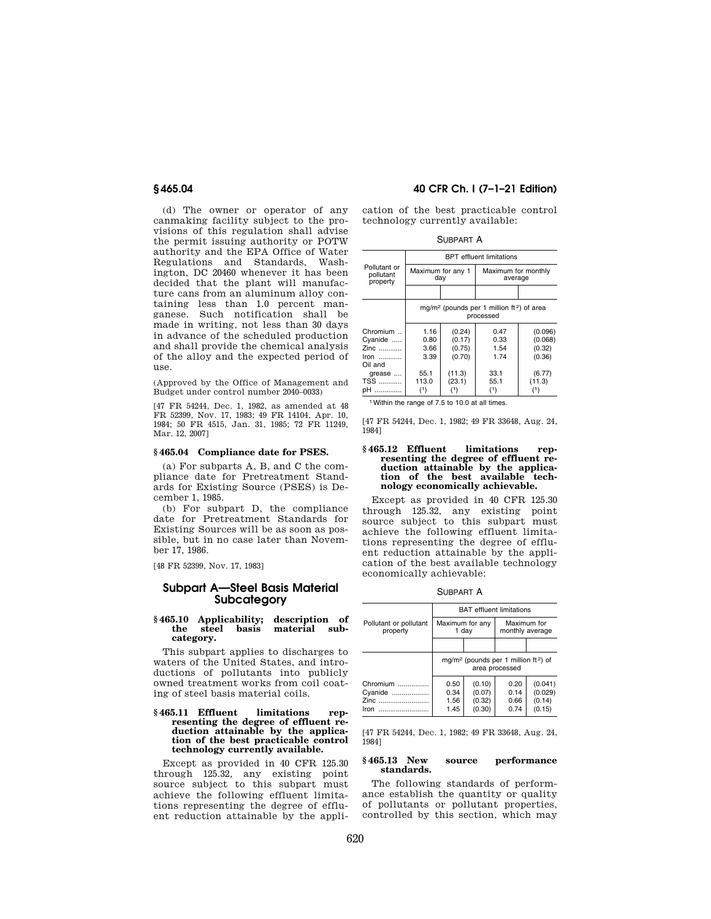(d) The owner or operator of any canmaking facility subject to the provisions of this regulation shall advise the permit issuing authority or POTW authority and the EPA Office of Water Regulations and Standards, Washington, DC 20460 whenever it has been decided that the plant will manufacture cans from an aluminum alloy containing less than 1.0 percent manganese. Such notification shall be made in writing, not less than 30 days in advance of the scheduled production and shall provide the chemical analysis of the alloy and the expected period of use.

(Approved by the Office of Management and Budget under control number 2040–0033)

[47 FR 54244, Dec. 1, 1982, as amended at 48 FR 52399, Nov. 17, 1983; 49 FR 14104, Apr. 10, 1984; 50 FR 4515, Jan. 31, 1985; 72 FR 11249, Mar. 12, 2007]

## **§ 465.04 Compliance date for PSES.**

(a) For subparts A, B, and C the compliance date for Pretreatment Standards for Existing Source (PSES) is December 1, 1985.

(b) For subpart D, the compliance date for Pretreatment Standards for Existing Sources will be as soon as possible, but in no case later than November 17, 1986.

[48 FR 52399, Nov. 17, 1983]

# **Subpart A—Steel Basis Material Subcategory**

## **§ 465.10 Applicability; description of the steel basis material subcategory.**

This subpart applies to discharges to waters of the United States, and introductions of pollutants into publicly owned treatment works from coil coating of steel basis material coils.

#### **§ 465.11 Effluent limitations representing the degree of effluent reduction attainable by the application of the best practicable control technology currently available.**

Except as provided in 40 CFR 125.30 through 125.32, any existing point source subject to this subpart must achieve the following effluent limitations representing the degree of effluent reduction attainable by the appli-

# **§ 465.04 40 CFR Ch. I (7–1–21 Edition)**

cation of the best practicable control technology currently available:

| <b>SUBPART A</b> |  |
|------------------|--|
|------------------|--|

|                                                   | <b>BPT</b> effluent limitations                                                |                                      |                                |                                        |  |
|---------------------------------------------------|--------------------------------------------------------------------------------|--------------------------------------|--------------------------------|----------------------------------------|--|
| Pollutant or<br>pollutant<br>property             | Maximum for any 1<br>day                                                       |                                      | Maximum for monthly<br>average |                                        |  |
|                                                   |                                                                                |                                      |                                |                                        |  |
|                                                   | mg/m <sup>2</sup> (pounds per 1 million ft <sup>2</sup> ) of area<br>processed |                                      |                                |                                        |  |
| Chromium.<br>Cyanide<br>Zinc<br>$lron$<br>Oil and | 1.16<br>0.80<br>3.66<br>3.39                                                   | (0.24)<br>(0.17)<br>(0.75)<br>(0.70) | 0.47<br>0.33<br>1.54<br>1.74   | (0.096)<br>(0.068)<br>(0.32)<br>(0.36) |  |
| grease<br><b>TSS</b><br>pH                        | 55.1<br>113.0<br>(1)                                                           | (11.3)<br>(23.1)                     | 33.1<br>55.1<br>(1)            | (6.77)<br>(11.3)                       |  |

1Within the range of 7.5 to 10.0 at all times.

[47 FR 54244, Dec. 1, 1982; 49 FR 33648, Aug. 24, 1984]

#### **§ 465.12 Effluent limitations representing the degree of effluent reduction attainable by the applica**tion of the best available **nology economically achievable.**

Except as provided in 40 CFR 125.30 through 125.32, any existing point source subject to this subpart must achieve the following effluent limitations representing the degree of effluent reduction attainable by the application of the best available technology economically achievable:

SUBPART A

|                                         | <b>BAT</b> effluent limitations                                                |                                      |                              |                                        |
|-----------------------------------------|--------------------------------------------------------------------------------|--------------------------------------|------------------------------|----------------------------------------|
| Pollutant or pollutant<br>property      | Maximum for any<br>Maximum for<br>1 day<br>monthly average                     |                                      |                              |                                        |
|                                         |                                                                                |                                      |                              |                                        |
|                                         | mg/m <sup>2</sup> (pounds per 1 million ft <sup>2</sup> ) of<br>area processed |                                      |                              |                                        |
| Chromium<br>Cyanide<br>Zinc<br>Iron<br> | 0.50<br>0.34<br>1.56<br>1.45                                                   | (0.10)<br>(0.07)<br>(0.32)<br>(0.30) | 0.20<br>0.14<br>0.66<br>0.74 | (0.041)<br>(0.029)<br>(0.14)<br>(0.15) |

[47 FR 54244, Dec. 1, 1982; 49 FR 33648, Aug. 24, 1984]

## **§ 465.13 New source performance standards.**

The following standards of performance establish the quantity or quality of pollutants or pollutant properties, controlled by this section, which may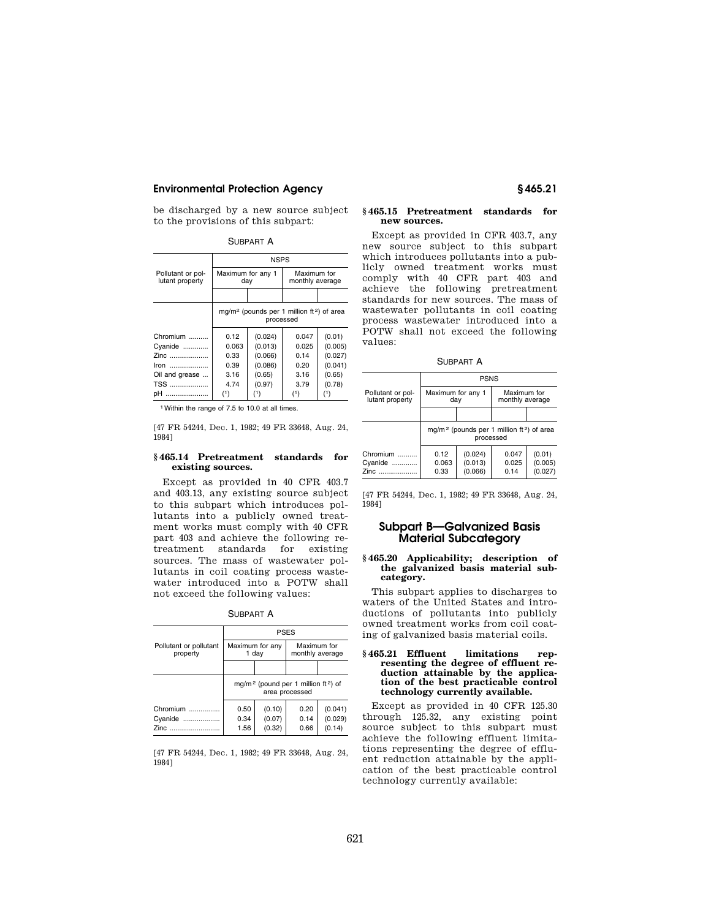be discharged by a new source subject to the provisions of this subpart:

SUBPART A

|                                      | <b>NSPS</b>                                                                    |         |                                |         |  |
|--------------------------------------|--------------------------------------------------------------------------------|---------|--------------------------------|---------|--|
| Pollutant or pol-<br>lutant property | Maximum for any 1<br>day                                                       |         | Maximum for<br>monthly average |         |  |
|                                      |                                                                                |         |                                |         |  |
|                                      | mg/m <sup>2</sup> (pounds per 1 million ft <sup>2</sup> ) of area<br>processed |         |                                |         |  |
| Chromium                             | 0.12                                                                           | (0.024) | 0.047                          | (0.01)  |  |
| Cyanide                              | 0.063                                                                          | (0.013) | 0.025                          | (0.005) |  |
| Zinc                                 | 0.33                                                                           | (0.066) | 0.14                           | (0.027) |  |
| Iron                                 | 0.39                                                                           | (0.086) | 0.20                           | (0.041) |  |
| Oil and grease                       | 3.16                                                                           | (0.65)  | 3.16                           | (0.65)  |  |
| TSS                                  | 4.74<br>(0.97)<br>3.79                                                         |         |                                | (0.78)  |  |
| pH                                   | $^{\text{\tiny{(1)}}}$<br>(1)<br>(1)<br>(1                                     |         |                                |         |  |

1Within the range of 7.5 to 10.0 at all times.

[47 FR 54244, Dec. 1, 1982; 49 FR 33648, Aug. 24, 1984]

## **§ 465.14 Pretreatment standards for existing sources.**

Except as provided in 40 CFR 403.7 and 403.13, any existing source subject to this subpart which introduces pollutants into a publicly owned treatment works must comply with 40 CFR part 403 and achieve the following retreatment standards for existing sources. The mass of wastewater pollutants in coil coating process wastewater introduced into a POTW shall not exceed the following values:

SUBPART A

|                                    | <b>PSES</b>                                                                   |        |                                |         |
|------------------------------------|-------------------------------------------------------------------------------|--------|--------------------------------|---------|
| Pollutant or pollutant<br>property | Maximum for any<br>1 day                                                      |        | Maximum for<br>monthly average |         |
|                                    |                                                                               |        |                                |         |
|                                    | mg/m <sup>2</sup> (pound per 1 million ft <sup>2</sup> ) of<br>area processed |        |                                |         |
| Chromium                           | 0.50                                                                          | (0.10) | 0.20                           | (0.041) |
| Cyanide<br>.                       | 0.34                                                                          | (0.07) | 0.14                           | (0.029) |
| Zinc                               | 1.56                                                                          | (0.32) | 0.66                           | (0.14)  |

[47 FR 54244, Dec. 1, 1982; 49 FR 33648, Aug. 24, 1984]

## **§ 465.15 Pretreatment standards for new sources.**

Except as provided in CFR 403.7, any new source subject to this subpart which introduces pollutants into a publicly owned treatment works must comply with 40 CFR part 403 and achieve the following pretreatment standards for new sources. The mass of wastewater pollutants in coil coating process wastewater introduced into a POTW shall not exceed the following values:

SUBPART A

|                                      | <b>PSNS</b>                                                           |                               |                                |                              |
|--------------------------------------|-----------------------------------------------------------------------|-------------------------------|--------------------------------|------------------------------|
| Pollutant or pol-<br>lutant property | Maximum for any 1<br>day                                              |                               | Maximum for<br>monthly average |                              |
|                                      |                                                                       |                               |                                |                              |
|                                      | mg/m <sup>2</sup> (pounds per 1 million $ft^2$ ) of area<br>processed |                               |                                |                              |
| Chromium<br>Cyanide<br>Zinc          | 0.12<br>0.063<br>0.33                                                 | (0.024)<br>(0.013)<br>(0.066) | 0.047<br>0.025<br>0.14         | (0.01)<br>(0.005)<br>(0.027) |

[47 FR 54244, Dec. 1, 1982; 49 FR 33648, Aug. 24, 1984]

# **Subpart B—Galvanized Basis Material Subcategory**

### **§ 465.20 Applicability; description of the galvanized basis material subcategory.**

This subpart applies to discharges to waters of the United States and introductions of pollutants into publicly owned treatment works from coil coating of galvanized basis material coils.

### **§ 465.21 Effluent limitations representing the degree of effluent reduction attainable by the application of the best practicable control technology currently available.**

Except as provided in 40 CFR 125.30 through 125.32, any existing point source subject to this subpart must achieve the following effluent limitations representing the degree of effluent reduction attainable by the application of the best practicable control technology currently available: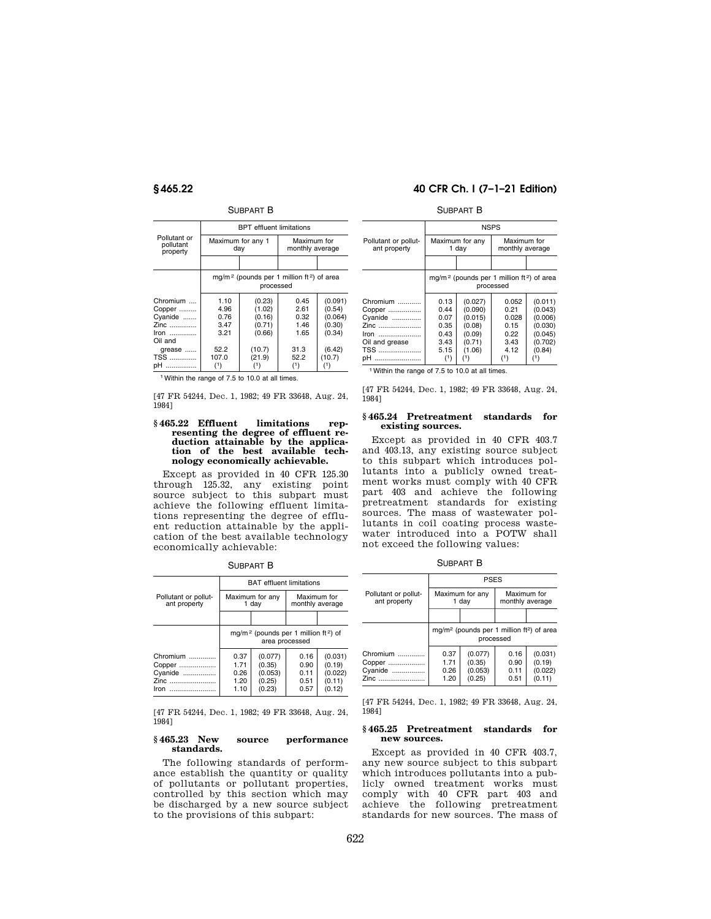## SUBPART B

|                                                          | <b>BPT</b> effluent limitations                                                |                                                |                                      |                                                  |
|----------------------------------------------------------|--------------------------------------------------------------------------------|------------------------------------------------|--------------------------------------|--------------------------------------------------|
| Pollutant or<br>pollutant<br>property                    | Maximum for any 1                                                              | day                                            | Maximum for<br>monthly average       |                                                  |
|                                                          |                                                                                |                                                |                                      |                                                  |
|                                                          | mg/m <sup>2</sup> (pounds per 1 million ft <sup>2</sup> ) of area<br>processed |                                                |                                      |                                                  |
| Chromium<br>Copper<br>Cyanide<br>Zinc<br>Iron<br>Oil and | 1.10<br>4.96<br>0.76<br>3.47<br>3.21<br>52.2                                   | (0.23)<br>(1.02)<br>(0.16)<br>(0.71)<br>(0.66) | 0.45<br>2.61<br>0.32<br>1.46<br>1.65 | (0.091)<br>(0.54)<br>(0.064)<br>(0.30)<br>(0.34) |
| grease<br><b>TSS</b><br>pH                               | 107.0<br>(1)                                                                   | (10.7)<br>(21.9)<br>(1)                        | 31.3<br>52.2<br>(1)                  | (6.42)<br>(10.7)<br>(1)                          |

1Within the range of 7.5 to 10.0 at all times.

[47 FR 54244, Dec. 1, 1982; 49 FR 33648, Aug. 24, 1984]

## **§ 465.22 Effluent limitations representing the degree of effluent reduction attainable by the application of the best available technology economically achievable.**

Except as provided in 40 CFR 125.30 through 125.32, any existing point source subject to this subpart must achieve the following effluent limitations representing the degree of effluent reduction attainable by the application of the best available technology economically achievable:

SUBPART B

|                                      | <b>BAT</b> effluent limitations                                                |                   |                                |                   |
|--------------------------------------|--------------------------------------------------------------------------------|-------------------|--------------------------------|-------------------|
| Pollutant or pollut-<br>ant property | Maximum for any<br>1 day                                                       |                   | Maximum for<br>monthly average |                   |
|                                      |                                                                                |                   |                                |                   |
|                                      | mg/m <sup>2</sup> (pounds per 1 million ft <sup>2</sup> ) of<br>area processed |                   |                                |                   |
| Chromium<br>Copper                   | 0.37<br>1.71                                                                   | (0.077)<br>(0.35) | 0.16<br>0.90                   | (0.031)<br>(0.19) |
| Cyanide                              | 0.26                                                                           | (0.053)           | 0.11                           | (0.022)           |
| Zinc<br>Iron                         | 1.20<br>1.10                                                                   | (0.25)<br>(0.23)  | 0.51<br>0.57                   | (0.11)<br>(0.12)  |

[47 FR 54244, Dec. 1, 1982; 49 FR 33648, Aug. 24, 1984]

# **§ 465.23 New source performance standards.**

The following standards of performance establish the quantity or quality of pollutants or pollutant properties, controlled by this section which may be discharged by a new source subject to the provisions of this subpart:

## **§ 465.22 40 CFR Ch. I (7–1–21 Edition)**

### SUBPART B

|                                                                               | <b>NSPS</b>                                                                    |                                                                       |                                                        |                                                                          |
|-------------------------------------------------------------------------------|--------------------------------------------------------------------------------|-----------------------------------------------------------------------|--------------------------------------------------------|--------------------------------------------------------------------------|
| Pollutant or pollut-<br>ant property                                          | Maximum for any<br>1 day                                                       |                                                                       | Maximum for<br>monthly average                         |                                                                          |
|                                                                               |                                                                                |                                                                       |                                                        |                                                                          |
|                                                                               | mg/m <sup>2</sup> (pounds per 1 million ft <sup>2</sup> ) of area<br>processed |                                                                       |                                                        |                                                                          |
| Chromium<br>Copper<br>Cyanide<br>Zinc<br>Iron<br>Oil and grease<br><b>TSS</b> | 0.13<br>0.44<br>0.07<br>0.35<br>0.43<br>3.43<br>5.15                           | (0.027)<br>(0.090)<br>(0.015)<br>(0.08)<br>(0.09)<br>(0.71)<br>(1.06) | 0.052<br>0.21<br>0.028<br>0.15<br>0.22<br>3.43<br>4.12 | (0.011)<br>(0.043)<br>(0.006)<br>(0.030)<br>(0.045)<br>(0.702)<br>(0.84) |
| pН                                                                            | (1)                                                                            | (1)                                                                   | (1)                                                    | (1)                                                                      |

1Within the range of 7.5 to 10.0 at all times.

[47 FR 54244, Dec. 1, 1982; 49 FR 33648, Aug. 24, 1984]

#### **§ 465.24 Pretreatment standards for existing sources.**

Except as provided in 40 CFR 403.7 and 403.13, any existing source subject to this subpart which introduces pollutants into a publicly owned treatment works must comply with 40 CFR part 403 and achieve the following pretreatment standards for existing sources. The mass of wastewater pollutants in coil coating process wastewater introduced into a POTW shall not exceed the following values:

SUBPART B

|                                       | <b>PSES</b>                                                                    |                                        |                              |                                        |
|---------------------------------------|--------------------------------------------------------------------------------|----------------------------------------|------------------------------|----------------------------------------|
| Pollutant or pollut-<br>ant property  | Maximum for any<br>1 day                                                       |                                        |                              | Maximum for<br>monthly average         |
|                                       |                                                                                |                                        |                              |                                        |
|                                       | mg/m <sup>2</sup> (pounds per 1 million ft <sup>2</sup> ) of area<br>processed |                                        |                              |                                        |
| Chromium<br>Copper<br>Cyanide<br>Zinc | 0.37<br>1.71<br>0.26<br>1.20                                                   | (0.077)<br>(0.35)<br>(0.053)<br>(0.25) | 0.16<br>0.90<br>0.11<br>0.51 | (0.031)<br>(0.19)<br>(0.022)<br>(0.11) |

[47 FR 54244, Dec. 1, 1982; 49 FR 33648, Aug. 24, 1984]

### **§ 465.25 Pretreatment standards for new sources.**

Except as provided in 40 CFR 403.7, any new source subject to this subpart which introduces pollutants into a publicly owned treatment works must comply with 40 CFR part 403 and achieve the following pretreatment standards for new sources. The mass of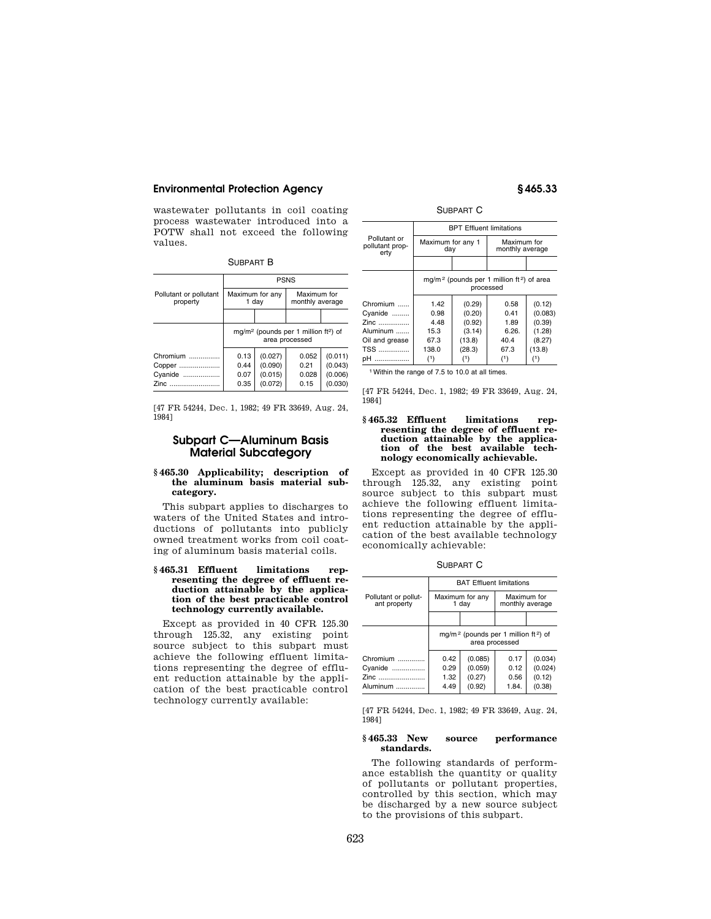wastewater pollutants in coil coating process wastewater introduced into a POTW shall not exceed the following values.

| il IRPART |  |
|-----------|--|
|           |  |

|                                    | <b>PSNS</b>                                                                    |                    |                                |                    |
|------------------------------------|--------------------------------------------------------------------------------|--------------------|--------------------------------|--------------------|
| Pollutant or pollutant<br>property | Maximum for any<br>1 day                                                       |                    | Maximum for<br>monthly average |                    |
|                                    |                                                                                |                    |                                |                    |
|                                    | mg/m <sup>2</sup> (pounds per 1 million ft <sup>2</sup> ) of<br>area processed |                    |                                |                    |
| Chromium                           | 0.13<br>0.44                                                                   | (0.027)            | 0.052<br>0.21                  | (0.011)            |
| Copper<br>Cyanide                  | 0.07                                                                           | (0.090)<br>(0.015) | 0.028                          | (0.043)<br>(0.006) |
| Zinc                               | 0.35                                                                           | (0.072)            | 0.15                           | (0.030)            |

[47 FR 54244, Dec. 1, 1982; 49 FR 33649, Aug. 24, 1984]

# **Subpart C—Aluminum Basis Material Subcategory**

## **§ 465.30 Applicability; description of the aluminum basis material subcategory.**

This subpart applies to discharges to waters of the United States and introductions of pollutants into publicly owned treatment works from coil coating of aluminum basis material coils.

### **§ 465.31 Effluent limitations representing the degree of effluent reduction attainable by the application of the best practicable control technology currently available.**

Except as provided in 40 CFR 125.30 through 125.32, any existing point source subject to this subpart must achieve the following effluent limitations representing the degree of effluent reduction attainable by the application of the best practicable control technology currently available:

SUBPART C

|                                                                               | <b>BPT Effluent limitations</b>                                       |                                                                 |                                                      |                                                                  |  |
|-------------------------------------------------------------------------------|-----------------------------------------------------------------------|-----------------------------------------------------------------|------------------------------------------------------|------------------------------------------------------------------|--|
| Pollutant or<br>pollutant prop-<br>erty                                       | Maximum for any 1<br>day                                              |                                                                 | Maximum for<br>monthly average                       |                                                                  |  |
|                                                                               |                                                                       |                                                                 |                                                      |                                                                  |  |
|                                                                               | $mq/m^2$ (pounds per 1 million ft <sup>2</sup> ) of area<br>processed |                                                                 |                                                      |                                                                  |  |
| Chromium<br>Cyanide<br>Zinc<br>Aluminum<br>Oil and grease<br><b>TSS</b><br>pH | 1.42<br>0.98<br>4.48<br>15.3<br>67.3<br>138.0<br>(1)                  | (0.29)<br>(0.20)<br>(0.92)<br>(3.14)<br>(13.8)<br>(28.3)<br>(1) | 0.58<br>0.41<br>1.89<br>6.26.<br>40.4<br>67.3<br>(1) | (0.12)<br>(0.083)<br>(0.39)<br>(1.28)<br>(8.27)<br>(13.8)<br>(1) |  |

1Within the range of 7.5 to 10.0 at all times.

[47 FR 54244, Dec. 1, 1982; 49 FR 33649, Aug. 24, 1984]

## **§ 465.32 Effluent limitations representing the degree of effluent reduction attainable by the application of the best available technology economically achievable.**

Except as provided in 40 CFR 125.30 through 125.32, any existing point source subject to this subpart must achieve the following effluent limitations representing the degree of effluent reduction attainable by the application of the best available technology economically achievable:

SUBPART C

|                                      | <b>BAT Effluent limitations</b> |                                                                                |       |                                |
|--------------------------------------|---------------------------------|--------------------------------------------------------------------------------|-------|--------------------------------|
| Pollutant or pollut-<br>ant property |                                 | Maximum for any<br>1 day                                                       |       | Maximum for<br>monthly average |
|                                      |                                 |                                                                                |       |                                |
|                                      |                                 | mg/m <sup>2</sup> (pounds per 1 million ft <sup>2</sup> ) of<br>area processed |       |                                |
| Chromium                             | 0.42                            | (0.085)                                                                        | 0.17  | (0.034)                        |
| Cyanide                              | 0.29                            | (0.059)                                                                        | 0.12  | (0.024)                        |
| Zinc                                 | 1.32                            | (0.27)                                                                         | 0.56  | (0.12)                         |
| Aluminum                             | 4.49                            | (0.92)                                                                         | 1.84. | (0.38)                         |

[47 FR 54244, Dec. 1, 1982; 49 FR 33649, Aug. 24, 1984]

# **§ 465.33 New source performance standards.**

The following standards of performance establish the quantity or quality of pollutants or pollutant properties, controlled by this section, which may be discharged by a new source subject to the provisions of this subpart.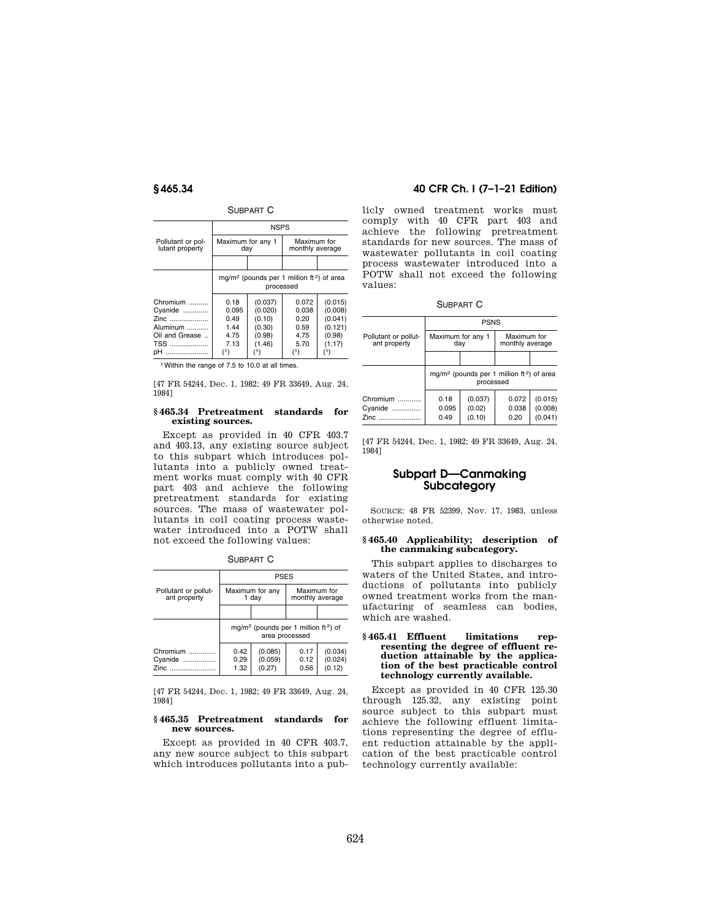# SUBPART C

| <b>NSPS</b>                                                                    |                                                            |                                                |                                                              |
|--------------------------------------------------------------------------------|------------------------------------------------------------|------------------------------------------------|--------------------------------------------------------------|
|                                                                                |                                                            |                                                |                                                              |
|                                                                                |                                                            |                                                |                                                              |
| mg/m <sup>2</sup> (pounds per 1 million ft <sup>2</sup> ) of area<br>processed |                                                            |                                                |                                                              |
| 0.18<br>0.095<br>0.49<br>1.44<br>4.75<br>7.13                                  | (0.037)<br>(0.020)<br>(0.10)<br>(0.30)<br>(0.98)<br>(1.46) | 0.072<br>0.038<br>0.20<br>0.59<br>4.75<br>5.70 | (0.015)<br>(0.008)<br>(0.041)<br>(0.121)<br>(0.98)<br>(1.17) |
|                                                                                | $^{\left(1\right)}$                                        | Maximum for any 1<br>day                       | Maximum for<br>monthly average<br>(1)                        |

1Within the range of 7.5 to 10.0 at all times.

[47 FR 54244, Dec. 1, 1982; 49 FR 33649, Aug. 24, 1984]

## **§ 465.34 Pretreatment standards for existing sources.**

Except as provided in 40 CFR 403.7 and 403.13, any existing source subject to this subpart which introduces pollutants into a publicly owned treatment works must comply with 40 CFR part 403 and achieve the following pretreatment standards for existing sources. The mass of wastewater pollutants in coil coating process wastewater introduced into a POTW shall not exceed the following values:

SUBPART C

|                                      | <b>PSES</b>                                                                    |                              |                      |                              |                                |  |
|--------------------------------------|--------------------------------------------------------------------------------|------------------------------|----------------------|------------------------------|--------------------------------|--|
| Pollutant or pollut-<br>ant property | Maximum for any<br>1 day                                                       |                              |                      |                              | Maximum for<br>monthly average |  |
|                                      |                                                                                |                              |                      |                              |                                |  |
|                                      | mg/m <sup>2</sup> (pounds per 1 million ft <sup>2</sup> ) of<br>area processed |                              |                      |                              |                                |  |
| Chromium<br>Cyanide<br>Zinc          | 0.42<br>0.29<br>1.32                                                           | (0.085)<br>(0.059)<br>(0.27) | 0.17<br>0.12<br>0.56 | (0.034)<br>(0.024)<br>(0.12) |                                |  |

[47 FR 54244, Dec. 1, 1982; 49 FR 33649, Aug. 24, 1984]

## **§ 465.35 Pretreatment standards for new sources.**

Except as provided in 40 CFR 403.7, any new source subject to this subpart which introduces pollutants into a pub-

# **§ 465.34 40 CFR Ch. I (7–1–21 Edition)**

licly owned treatment works must comply with 40 CFR part 403 and achieve the following pretreatment standards for new sources. The mass of wastewater pollutants in coil coating process wastewater introduced into a POTW shall not exceed the following values:

SUBPART C

|                                      | <b>PSNS</b>              |                             |                                                          |                               |
|--------------------------------------|--------------------------|-----------------------------|----------------------------------------------------------|-------------------------------|
| Pollutant or pollut-<br>ant property | Maximum for any 1<br>day |                             | Maximum for<br>monthly average                           |                               |
|                                      |                          |                             |                                                          |                               |
|                                      |                          | processed                   | mg/m <sup>2</sup> (pounds per 1 million $ft^2$ ) of area |                               |
| Chromium<br>Cyanide<br>Zinc          | 0.18<br>0.095<br>0.49    | (0.037)<br>(0.02)<br>(0.10) | 0.072<br>0.038<br>0.20                                   | (0.015)<br>(0.008)<br>(0.041) |

[47 FR 54244, Dec. 1, 1982; 49 FR 33649, Aug. 24, 1984]

# **Subpart D—Canmaking Subcategory**

SOURCE: 48 FR 52399, Nov. 17, 1983, unless otherwise noted.

## **§ 465.40 Applicability; description of the canmaking subcategory.**

This subpart applies to discharges to waters of the United States, and introductions of pollutants into publicly owned treatment works from the manufacturing of seamless can bodies, which are washed.

## **§ 465.41 Effluent limitations representing the degree of effluent reduction attainable by the application of the best practicable control technology currently available.**

Except as provided in 40 CFR 125.30 through 125.32, any existing point source subject to this subpart must achieve the following effluent limitations representing the degree of effluent reduction attainable by the application of the best practicable control technology currently available: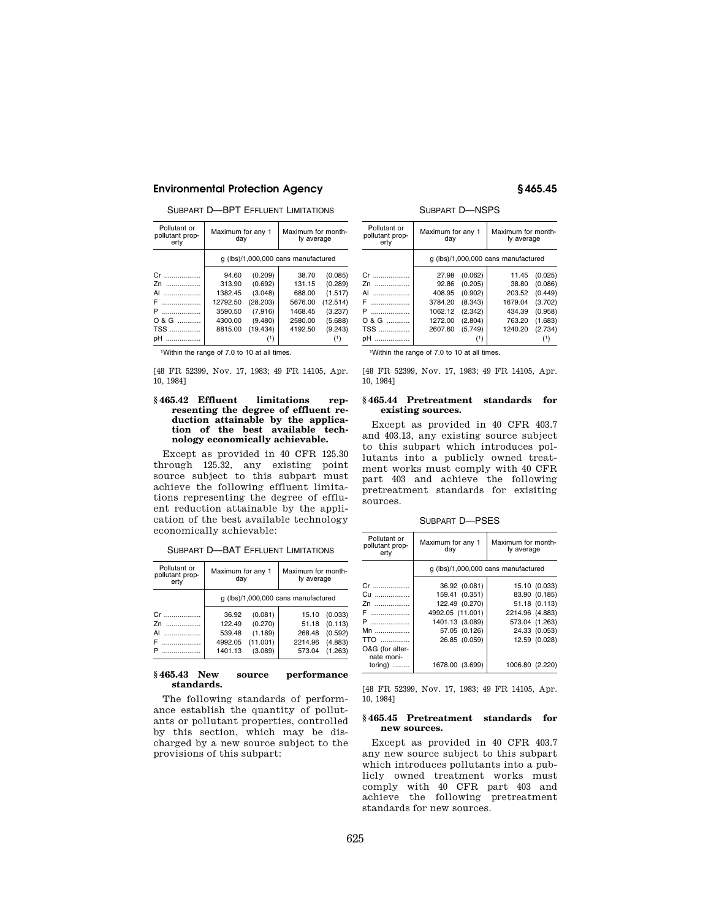SUBPART D—BPT EFFLUENT LIMITATIONS

| Pollutant or<br>pollutant prop-<br>ertv | Maximum for any 1<br>day |          | Maximum for month-<br>ly average    |          |
|-----------------------------------------|--------------------------|----------|-------------------------------------|----------|
|                                         |                          |          | g (lbs)/1,000,000 cans manufactured |          |
| Cr.<br>.                                | 94.60                    | (0.209)  | 38.70                               | (0.085)  |
| 7n<br>.                                 | 313.90                   | (0.692)  | 131.15                              | (0.289)  |
| .<br>ΑI                                 | 1382.45                  | (3.048)  | 688.00                              | (1.517)  |
| .<br>F                                  | 12792.50                 | (28.203) | 5676.00                             | (12.514) |
| P<br>.                                  | 3590.50                  | (7.916)  | 1468.45                             | (3.237)  |
| 0 & G                                   | 4300.00                  | (9.480)  | 2580.00                             | (5.688)  |
| <b>TSS</b>                              | 8815.00                  | (19.434) | 4192.50                             | (9.243)  |
| pН<br>.                                 |                          |          |                                     |          |

1Within the range of 7.0 to 10 at all times.

[48 FR 52399, Nov. 17, 1983; 49 FR 14105, Apr. 10, 1984]

## **§ 465.42 Effluent limitations representing the degree of effluent reduction attainable by the application of the best available technology economically achievable.**

Except as provided in 40 CFR 125.30 through 125.32, any existing point source subject to this subpart must achieve the following effluent limitations representing the degree of effluent reduction attainable by the application of the best available technology economically achievable:

SUBPART D—BAT EFFLUENT LIMITATIONS

| Pollutant or<br>pollutant prop-<br>ertv | Maximum for any 1<br>day |          | Maximum for month-<br>ly average    |         |
|-----------------------------------------|--------------------------|----------|-------------------------------------|---------|
|                                         |                          |          | q (lbs)/1,000,000 cans manufactured |         |
| Cr                                      | 36.92                    | (0.081)  | 15.10                               | (0.033) |
| 7n<br>.                                 | 122.49                   | (0.270)  | 51.18                               | (0.113) |
| ΑI                                      | 539.48                   | (1.189)  | 268.48                              | (0.592) |
|                                         | 4992.05                  | (11.001) | 2214.96                             | (4.883) |
| .                                       | 1401.13                  | (3.089)  | 573.04                              | (1.263) |

## **§ 465.43 New source performance standards.**

The following standards of performance establish the quantity of pollutants or pollutant properties, controlled by this section, which may be discharged by a new source subject to the provisions of this subpart:

SUBPART D—NSPS

| Pollutant or<br>pollutant prop-<br>erty | Maximum for any 1<br>day |         | Maximum for month-<br>ly average    |         |
|-----------------------------------------|--------------------------|---------|-------------------------------------|---------|
|                                         |                          |         | q (lbs)/1,000,000 cans manufactured |         |
| Cr                                      | 27.98                    | (0.062) | 11.45                               | (0.025) |
| Zn<br>.                                 | 92.86                    | (0.205) | 38.80                               | (0.086) |
| ΑI<br>.                                 | 408.95                   | (0.902) | 203.52                              | (0.449) |
| .                                       | 3784.20                  | (8.343) | 1679.04                             | (3.702) |
| Р<br>.                                  | 1062.12                  | (2.342) | 434.39                              | (0.958) |
| 0 & G                                   | 1272.00                  | (2.804) | 763.20                              | (1.683) |
| TSS                                     | 2607.60                  | (5.749) | 1240.20                             | (2.734) |
| nН<br>.                                 |                          |         |                                     |         |

1Within the range of 7.0 to 10 at all times.

[48 FR 52399, Nov. 17, 1983; 49 FR 14105, Apr. 10, 1984]

### **§ 465.44 Pretreatment standards for existing sources.**

Except as provided in 40 CFR 403.7 and 403.13, any existing source subject to this subpart which introduces pollutants into a publicly owned treatment works must comply with 40 CFR part 403 and achieve the following pretreatment standards for exisiting sources.

SUBPART D—PSES

| Pollutant or<br>pollutant prop-<br>erty | Maximum for any 1<br>day            | Maximum for month-<br>ly average |  |
|-----------------------------------------|-------------------------------------|----------------------------------|--|
|                                         | g (lbs)/1,000,000 cans manufactured |                                  |  |
| Cr                                      | 36.92 (0.081)                       | 15.10 (0.033)                    |  |
| Cu                                      | 159.41 (0.351)                      | 83.90 (0.185)                    |  |
| Zn                                      | 122.49 (0.270)                      | 51.18 (0.113)                    |  |
| F                                       | 4992.05 (11.001)                    | 2214.96 (4.883)                  |  |
| P                                       | 1401.13 (3.089)                     | 573.04 (1.263)                   |  |
| Mn                                      | 57.05 (0.126)                       | 24.33 (0.053)                    |  |
| $TTO$                                   | 26.85 (0.059)                       | 12.59 (0.028)                    |  |
| O&G (for alter-<br>nate moni-           |                                     |                                  |  |
| toring)                                 | 1678.00 (3.699)                     | 1006.80 (2.220)                  |  |

[48 FR 52399, Nov. 17, 1983; 49 FR 14105, Apr. 10, 1984]

## **§ 465.45 Pretreatment standards for new sources.**

Except as provided in 40 CFR 403.7 any new source subject to this subpart which introduces pollutants into a publicly owned treatment works must comply with 40 CFR part 403 and achieve the following pretreatment standards for new sources.